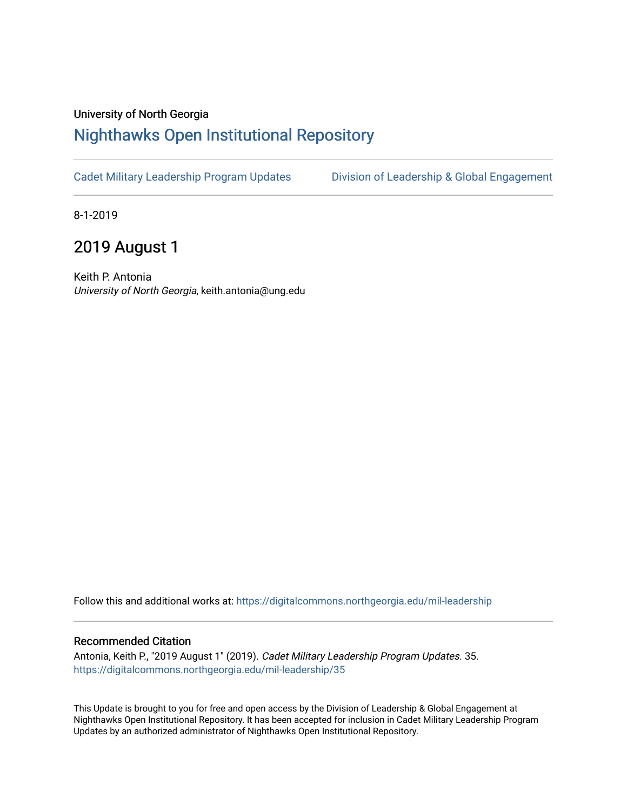## University of North Georgia

## [Nighthawks Open Institutional Repository](https://digitalcommons.northgeorgia.edu/)

[Cadet Military Leadership Program Updates](https://digitalcommons.northgeorgia.edu/mil-leadership) [Division of Leadership & Global Engagement](https://digitalcommons.northgeorgia.edu/leadership) 

8-1-2019

## 2019 August 1

Keith P. Antonia University of North Georgia, keith.antonia@ung.edu

Follow this and additional works at: [https://digitalcommons.northgeorgia.edu/mil-leadership](https://digitalcommons.northgeorgia.edu/mil-leadership?utm_source=digitalcommons.northgeorgia.edu%2Fmil-leadership%2F35&utm_medium=PDF&utm_campaign=PDFCoverPages) 

## Recommended Citation

Antonia, Keith P., "2019 August 1" (2019). Cadet Military Leadership Program Updates. 35. [https://digitalcommons.northgeorgia.edu/mil-leadership/35](https://digitalcommons.northgeorgia.edu/mil-leadership/35?utm_source=digitalcommons.northgeorgia.edu%2Fmil-leadership%2F35&utm_medium=PDF&utm_campaign=PDFCoverPages)

This Update is brought to you for free and open access by the Division of Leadership & Global Engagement at Nighthawks Open Institutional Repository. It has been accepted for inclusion in Cadet Military Leadership Program Updates by an authorized administrator of Nighthawks Open Institutional Repository.